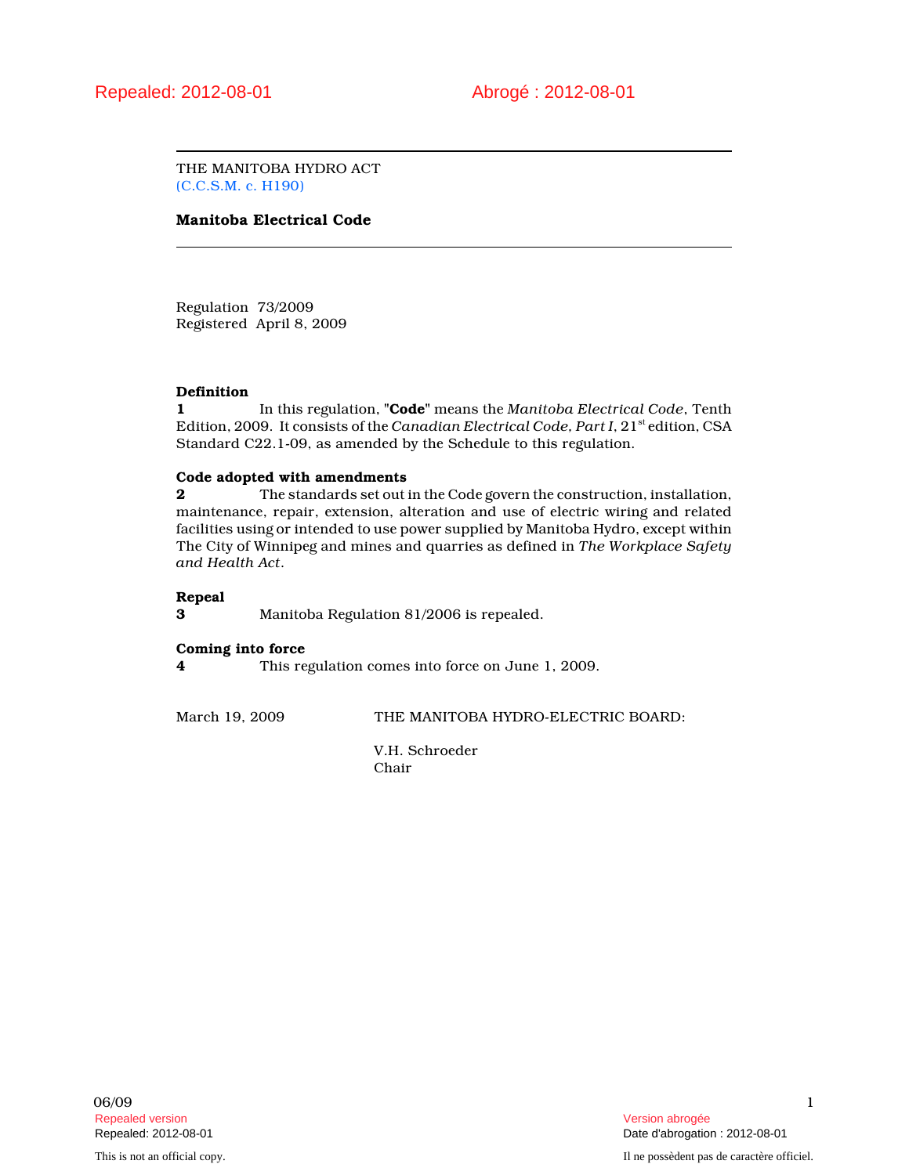THE MANITOBA HYDRO ACT (C.C.S.M. c. H190)

## Manitoba Electrical Code

Regulation 73/2009 Registered April 8, 2009

### Definition

1 In this regulation, "Code" means the Manitoba Electrical Code, Tenth Edition, 2009. It consists of the Canadian Electrical Code, Part I, 21st edition, CSA Standard C22.1-09, as amended by the Schedule to this regulation.

### Code adopted with amendments

2 The standards set out in the Code govern the construction, installation, maintenance, repair, extension, alteration and use of electric wiring and related facilities using or intended to use power supplied by Manitoba Hydro, except within The City of Winnipeg and mines and quarries as defined in The Workplace Safety and Health Act.

### Repeal

3 Manitoba Regulation 81/2006 is repealed.

### Coming into force

4 This regulation comes into force on June 1, 2009.

March 19, 2009 THE MANITOBA HYDRO-ELECTRIC BOARD:

V.H. Schroeder Chair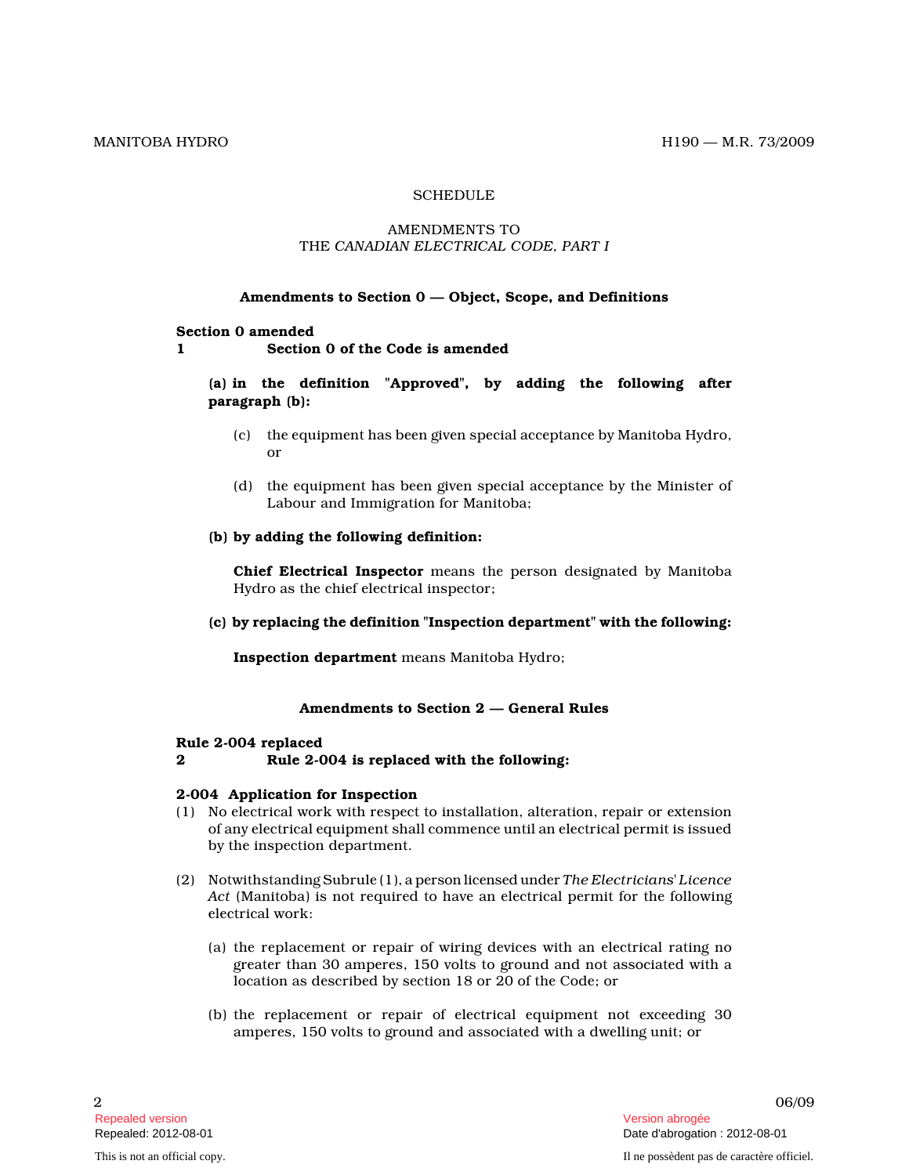# **SCHEDULE**

### AMENDMENTS TO THE CANADIAN ELECTRICAL CODE, PART I

### Amendments to Section 0 — Object, Scope, and Definitions

#### Section 0 amended

1 Section 0 of the Code is amended

# (a) in the definition "Approved", by adding the following after paragraph (b):

- (c) the equipment has been given special acceptance by Manitoba Hydro, or
- (d) the equipment has been given special acceptance by the Minister of Labour and Immigration for Manitoba;
- (b) by adding the following definition:

Chief Electrical Inspector means the person designated by Manitoba Hydro as the chief electrical inspector;

(c) by replacing the definition "Inspection department" with the following:

Inspection department means Manitoba Hydro;

# Amendments to Section 2 — General Rules

#### Rule 2-004 replaced

# 2 Rule 2-004 is replaced with the following:

#### 2-004 Application for Inspection

- (1) No electrical work with respect to installation, alteration, repair or extension of any electrical equipment shall commence until an electrical permit is issued by the inspection department.
- (2) Notwithstanding Subrule (1), a person licensed under The Electricians' Licence Act (Manitoba) is not required to have an electrical permit for the following electrical work:
	- (a) the replacement or repair of wiring devices with an electrical rating no greater than 30 amperes, 150 volts to ground and not associated with a location as described by section 18 or 20 of the Code; or
	- (b) the replacement or repair of electrical equipment not exceeding 30 amperes, 150 volts to ground and associated with a dwelling unit; or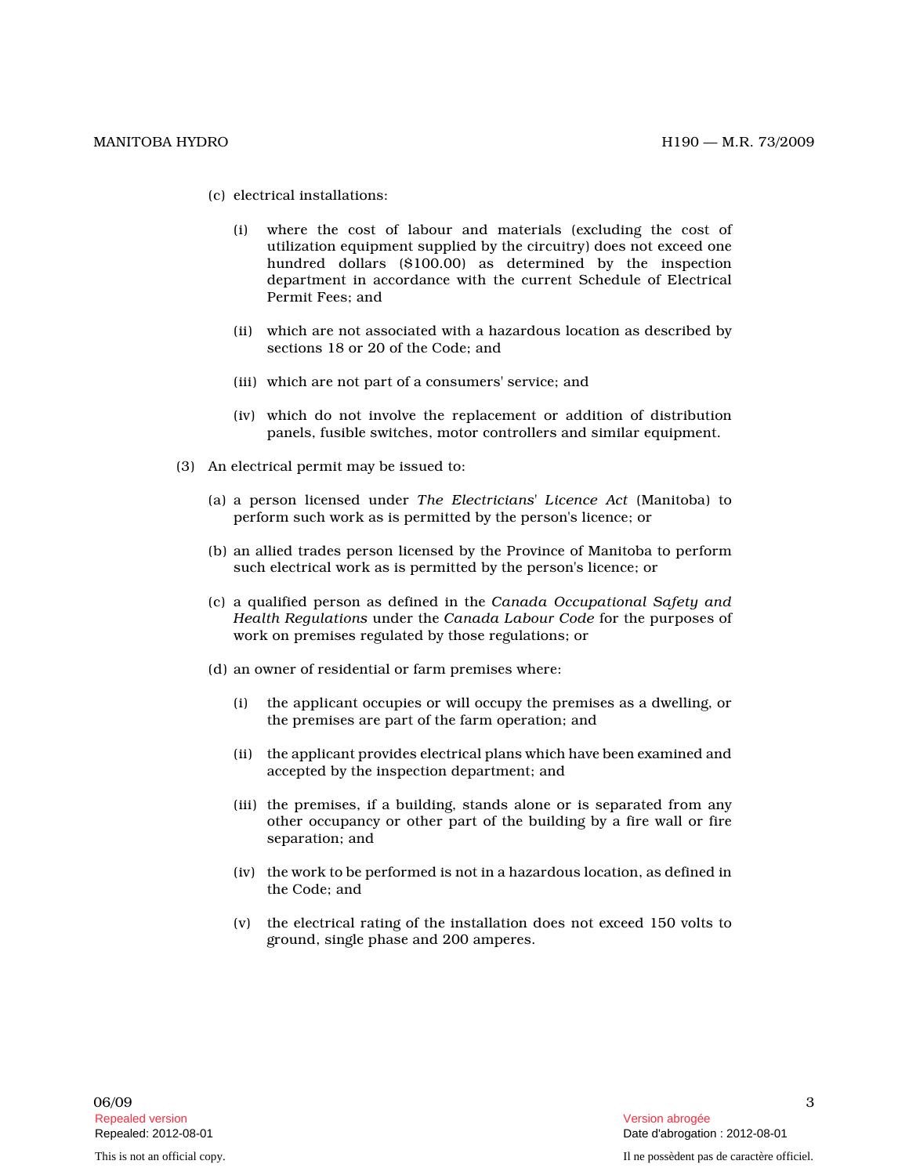- (c) electrical installations:
	- (i) where the cost of labour and materials (excluding the cost of utilization equipment supplied by the circuitry) does not exceed one hundred dollars (\$100.00) as determined by the inspection department in accordance with the current Schedule of Electrical Permit Fees; and
	- (ii) which are not associated with a hazardous location as described by sections 18 or 20 of the Code; and
	- (iii) which are not part of a consumers' service; an d
	- (iv) which do not involve the replacement or addition of distribution panels, fusible switches, motor controllers and similar equipment.
- (3) An electrical permit may be issued to:
	- (a) a person licensed under The Electricians' Licence Act (Manitoba) to perform such work as is permitted by the person's licence; or
	- (b) an allied trades person licensed by the Province of Manitoba to perform such electrical work as is permitted by the person's licence; or
	- (c) a qualified person as defined in the Canada Occupational Safety and Health Regulations under the Canada Labour Code for the purposes of work on premises regulated by those regulations; or
	- (d) an owner of residential or farm premises where:
		- (i) the applicant occupies or will occupy the premises as a dwelling, or the premises are part of the farm operation; and
		- (ii) the applicant provides electrical plans which have been examined and accepted by the inspection department; and
		- (iii) the premises, if a building, stands alone or is separated from any other occupancy or other part of the building by a fire wall or fire separation; and
		- (iv) the work to be performed is not in a hazardous location, as defined in the Code; and
		- (v) the electrical rating of the installation does not exceed 150 volts to ground, single phase and 200 amperes.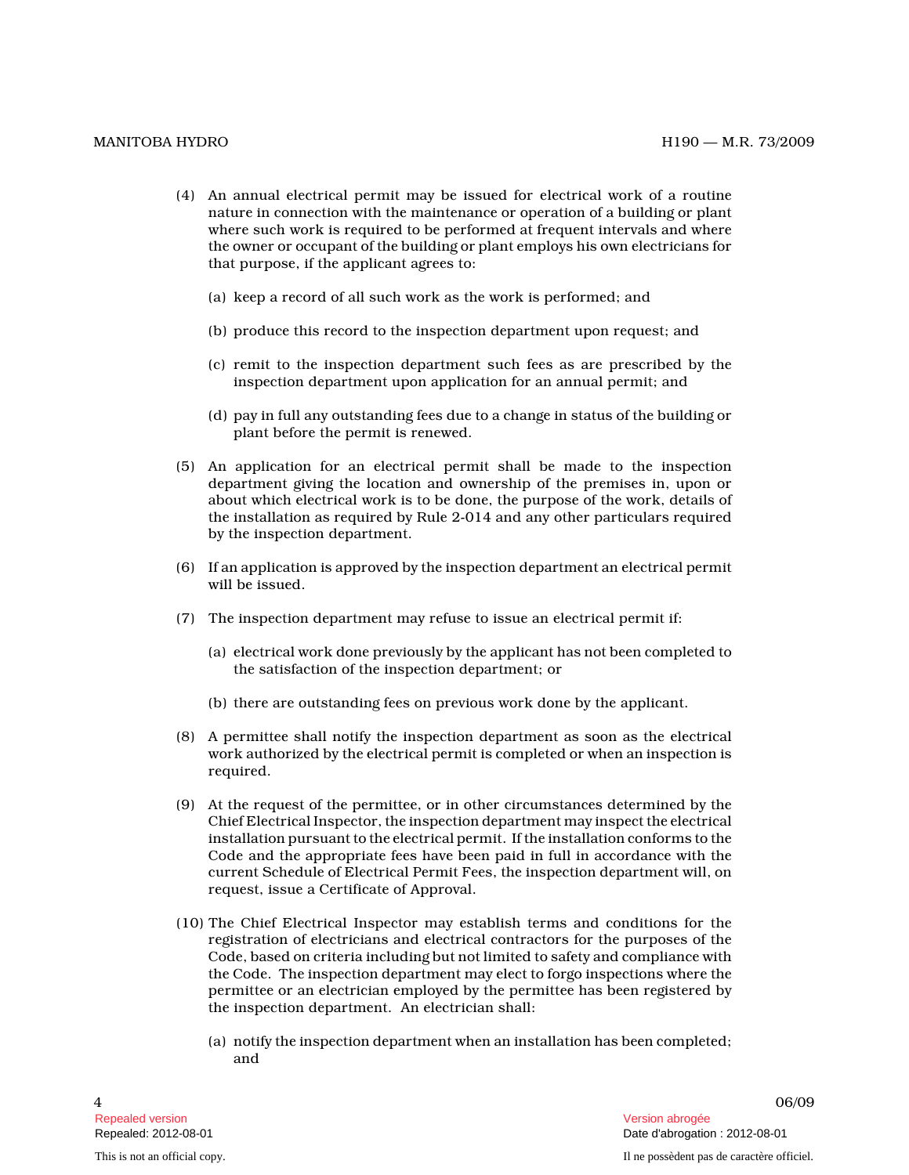- (4) An annual electrical permit may be issued for electrical work of a routine nature in connection with the maintenance or operation of a building or plant where such work is required to be performed at frequent intervals and where the owner or occupant of the building or plant employs his own electricians for that purpose, if the applicant agrees to:
	- (a) keep a record of all such work as the work is performed; and
	- (b) produce this record to the inspection department upon request; and
	- (c) remit to the inspection department such fees as are prescribed by the inspection department upon application for an annual permit; and
	- (d) pay in full any outstanding fees due to a change in status of the building or plant before the permit is renewed.
- (5) An application for an electrical permit shall be made to the inspection department giving the location and ownership of the premises in, upon or about which electrical work is to be done, the purpose of the work, details of the installation as required by Rule 2-014 and any other particulars required by the inspection department.
- (6) If an application is approved by the inspection department an electrical permit will be issued.
- (7) The inspection department may refuse to issue an electrical permit if:
	- (a) electrical work done previously by the applicant has not been completed to the satisfaction of the inspection department; or
	- (b) there are outstanding fees on previous work done by the applicant.
- (8) A permittee shall notify the inspection department as soon as the electrical work authorized by the electrical permit is completed or when an inspection is required.
- (9) At the request of the permittee, or in other circumstances determined by the Chief Electrical Inspector, the inspection department may inspect the electrical installation pursuant to the electrical permit. If the installation conforms to the Code and the appropriate fees have been paid in full in accordance with the current Schedule of Electrical Permit Fees, the inspection department will, on request, issue a Certificate of Approval.
- (10) The Chief Electrical Inspector may establish terms and conditions for the registration of electricians and electrical contractors for the purposes of the Code, based on criteria including but not limited to safety and compliance with the Code. The inspection department may elect to forgo inspections where the permittee or an electrician employed by the permittee has been registered by the inspection department. An electrician shall:
	- (a) notify the inspection department when an installation has been completed; and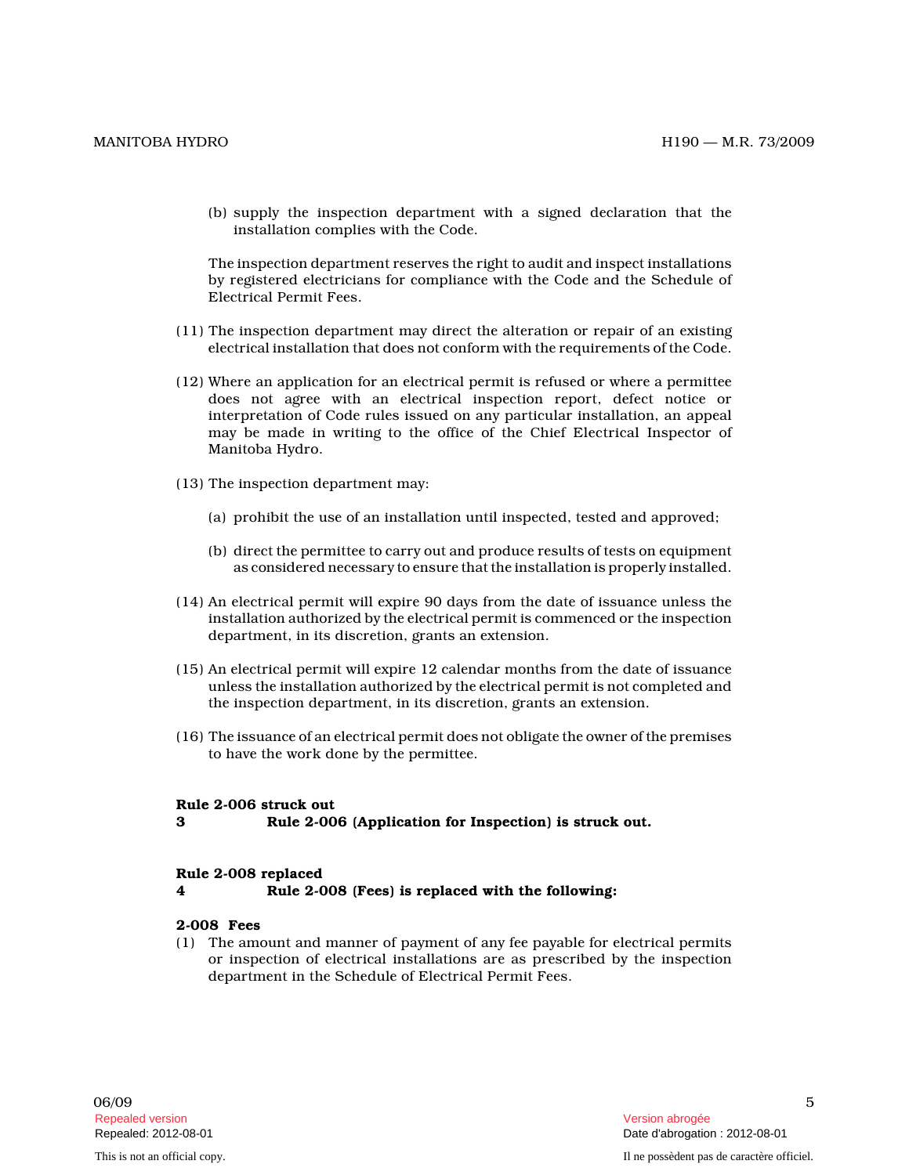(b) supply the inspection department with a signed declaration that the installation complies with the Code.

The inspection department reserves the right to audit and inspect installations by registered electricians for compliance with the Code and the Schedule of Electrical Permit Fees.

- (11) The inspection department may direct the alteration or repair of an existing electrical installation that does not conform with the requirements of the Code.
- (12) Where an application for an electrical permit is refused or where a permittee does not agree with an electrical inspection report, defect notice or interpretation of Code rules issued on any particular installation, an appeal may be made in writing to the office of the Chief Electrical Inspector of Manitoba Hydro.
- (13) The inspection department may:
	- (a) prohibit the use of an installation until inspected, tested and approved;
	- (b) direct the permittee to carry out and produce results of tests on equipment as considered necessary to ensure that the installation is properly installed.
- (14) An electrical permit will expire 90 days from the date of issuance unless the installation authorized by the electrical permit is commenced or the inspection department, in its discretion, grants an extension.
- (15) An electrical permit will expire 12 calendar months from the date of issuance unless the installation authorized by the electrical permit is not completed and the inspection department, in its discretion, grants an extension.
- (16) The issuance of an electrical permit does not obligate the owner of the premises to have the work done by the permittee.

#### Rule 2-006 struck out

3 Rule 2-006 (Application for Inspection) is struck out.

### Rule 2-008 replaced

4 Rule 2-008 (Fees) is replaced with the following:

# 2-008 Fees

(1) The amount and manner of payment of any fee payable for electrical permits or inspection of electrical installations are as prescribed by the inspection department in the Schedule of Electrical Permit Fees.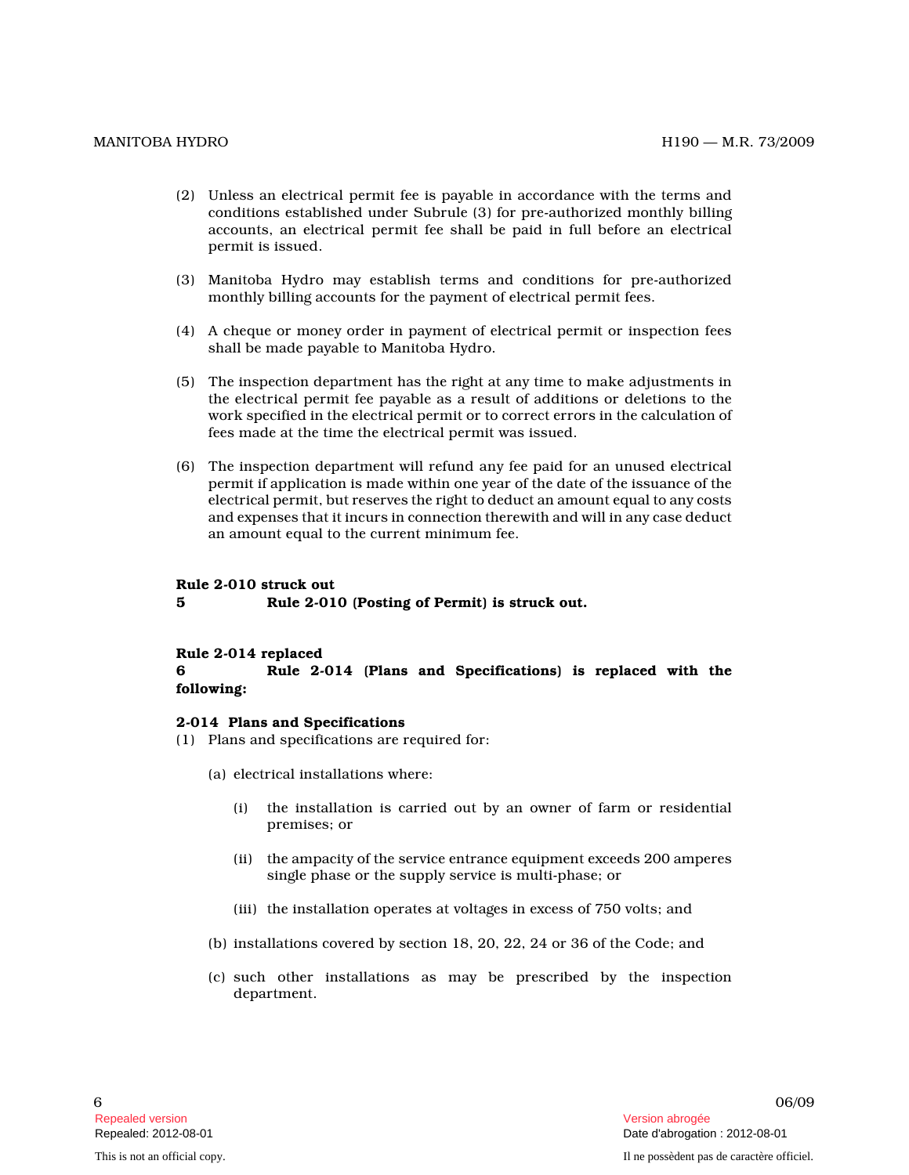- (2) Unless an electrical permit fee is payable in accordance with the terms and conditions established under Subrule (3) for pre-authorized monthly billing accounts, an electrical permit fee shall be paid in full before an electrical permit is issued.
- (3) Manitoba Hydro may establish terms and conditions for pre-authorized monthly billing accounts for the payment of electrical permit fees.
- (4) A cheque or money order in payment of electrical permit or inspection fees shall be made payable to Manitoba Hydro.
- (5) The inspection department has the right at any time to make adjustments in the electrical permit fee payable as a result of additions or deletions to the work specified in the electrical permit or to correct errors in the calculation of fees made at the time the electrical permit was issued.
- (6) The inspection department will refund any fee paid for an unused electrical permit if application is made within one year of the date of the issuance of the electrical permit, but reserves the right to deduct an amount equal to any costs and expenses that it incurs in connection therewith and will in any case deduct an amount equal to the current minimum fee.

#### Rule 2-010 struck out

5 Rule 2-010 (Posting of Permit) is struck out.

#### Rule 2-014 replaced

6 Rule 2-014 (Plans and Specifications) is replaced with the following:

### 2-014 Plans and Specifications

- (1) Plans and specifications are required for:
	- (a) electrical installations where:
		- (i) the installation is carried out by an owner of farm or residential premises; or
		- (ii) the ampacity of the service entrance equipment exceeds 200 amperes single phase or the supply service is multi-phase; or
		- (iii) the installation operates at voltages in excess of 750 volts; and
	- (b) installations covered by section 18, 20, 22, 24 or 36 of the Code; and
	- (c) such other installations as may be prescribed by the inspection department.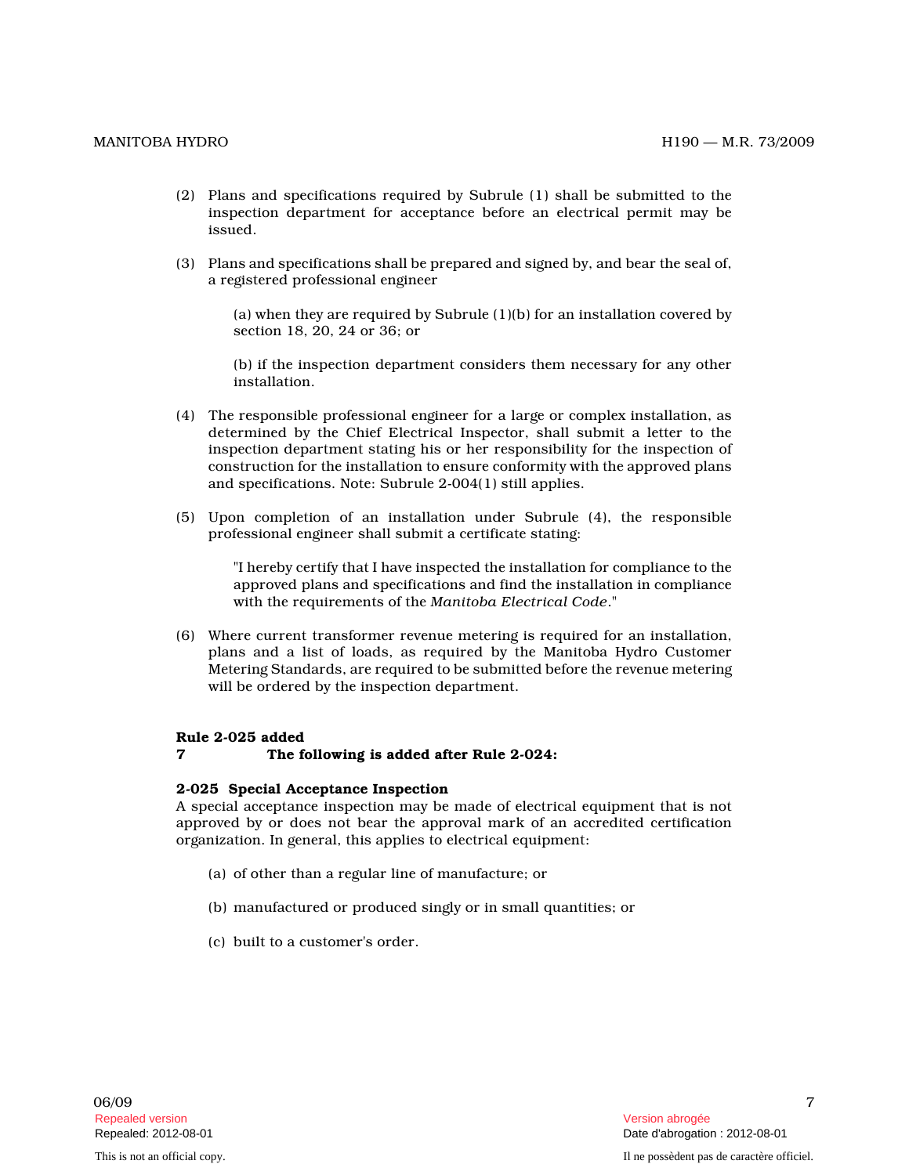- (2) Plans and specifications required by Subrule (1) shall be submitted to the inspection department for acceptance before an electrical permit may be issued.
- (3) Plans and specifications shall be prepared and signed by, and bear the seal of, a registered professional engineer

(a) when they are required by Subrule (1)(b) for an installation covered by section 18, 20, 24 or 36; or

(b) if the inspection department considers them necessary for any other installation.

- (4) The responsible professional engineer for a large or complex installation, as determined by the Chief Electrical Inspector, shall submit a letter to the inspection department stating his or her responsibility for the inspection of construction for the installation to ensure conformity with the approved plans and specifications. Note: Subrule 2-004(1) still applies.
- (5) Upon completion of an installation under Subrule (4), the responsible professional engineer shall submit a certificate stating:

"I hereby certify that I have inspected the installation for compliance to the approved plans and specifications and find the installation in compliance with the requirements of the Manitoba Electrical Code."

(6) Where current transformer revenue metering is required for an installation, plans and a list of loads, as required by the Manitoba Hydro Customer Metering Standards, are required to be submitted before the revenue metering will be ordered by the inspection department.

# Rule 2-025 added

# 7 The following is added after Rule 2-024:

#### 2-025 Special Acceptance Inspection

A special acceptance inspection may be made of electrical equipment that is not approved by or does not bear the approval mark of an accredited certification organization. In general, this applies to electrical equipment:

- (a) of other than a regular line of manufacture; or
- (b) manufactured or produced singly or in small quantities; or
- (c) built to a customer's order.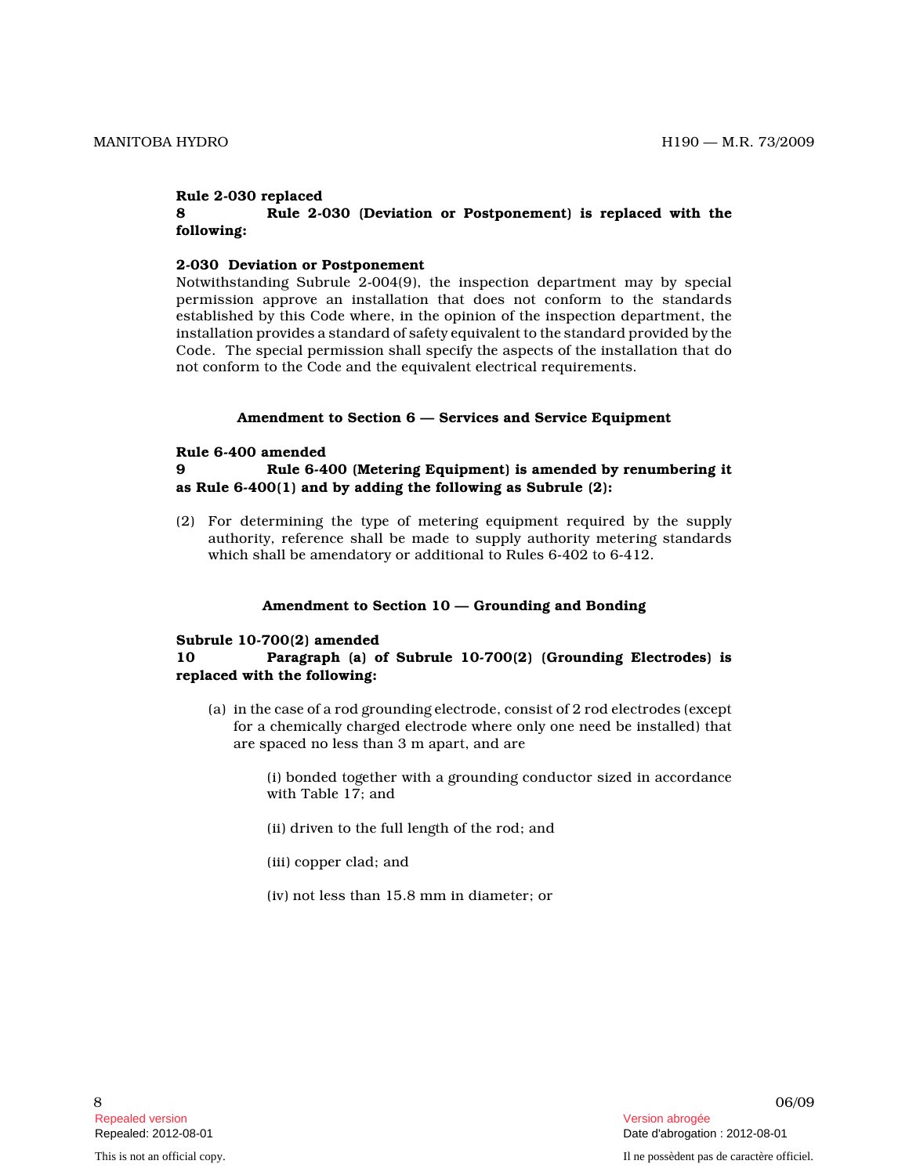### Rule 2-030 replaced

# 8 Rule 2-030 (Deviation or Postponement) is replaced with the following:

### 2-030 Deviation or Postponement

Notwithstanding Subrule 2-004(9), the inspection department may by special permission approve an installation that does not conform to the standards established by this Code where, in the opinion of the inspection department, the installation provides a standard of safety equivalent to the standard provided by the Code. The special permission shall specify the aspects of the installation that do not conform to the Code and the equivalent electrical requirements.

#### Amendment to Section 6 — Services and Service Equipment

### Rule 6-400 amended

# 9 Rule 6-400 (Metering Equipment) is amended by renumbering it as Rule 6-400(1) and by adding the following as Subrule (2):

(2) For determining the type of metering equipment required by the supply authority, reference shall be made to supply authority metering standards which shall be amendatory or additional to Rules 6-402 to 6-412.

### Amendment to Section 10 — Grounding and Bonding

# Subrule 10-700(2) amended

# 10 Paragraph (a) of Subrule 10-700(2) (Grounding Electrodes) is replaced with the following:

(a) in the case of a rod grounding electrode, consist of 2 rod electrodes (except for a chemically charged electrode where only one need be installed) that are spaced no less than 3 m apart, and are

> (i) bonded together with a grounding conductor sized in accordance with Table 17; and

- (ii) driven to the full length of the rod; and
- (iii) copper clad; and
- (iv) not less than 15.8 mm in diameter; or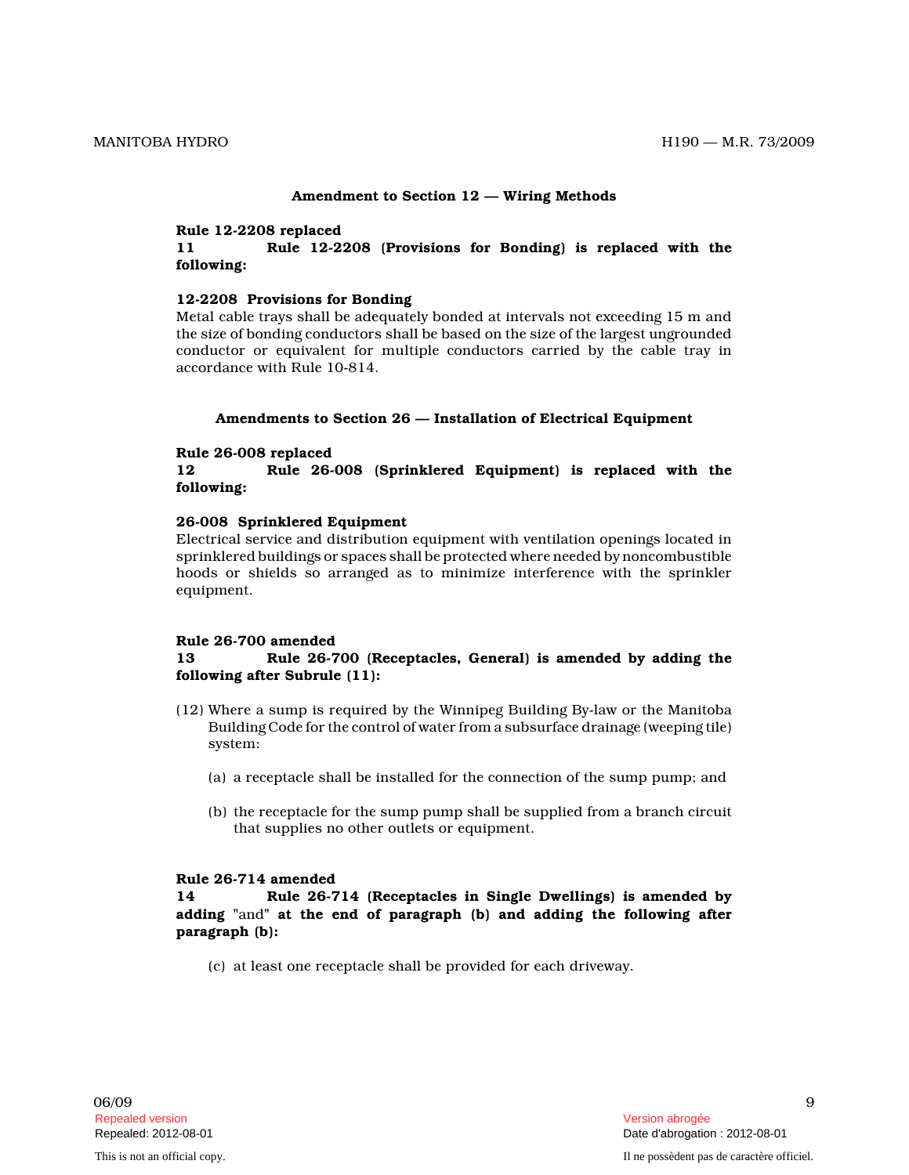### Amendment to Section 12 — Wiring Methods

#### Rule 12-2208 replaced

11 Rule 12-2208 (Provisions for Bonding) is replaced with the following:

# 12-2208 Provisions for Bonding

Metal cable trays shall be adequately bonded at intervals not exceeding 15 m and the size of bonding conductors shall be based on the size of the largest ungrounded conductor or equivalent for multiple conductors carried by the cable tray in accordance with Rule 10-814.

#### Amendments to Section 26 — Installation of Electrical Equipment

#### Rule 26-008 replaced

12 Rule 26-008 (Sprinklered Equipment) is replaced with the following:

### 26-008 Sprinklered Equipment

Electrical service and distribution equipment with ventilation openings located in sprinklered buildings or spaces shall be protected where needed by noncombustible hoods or shields so arranged as to minimize interference with the sprinkler equipment.

### Rule 26-700 amended

# 13 Rule 26-700 (Receptacles, General) is amended by adding the following after Subrule (11):

- (12) Where a sump is required by the Winnipeg Building By-law or the Manitoba Building Code for the control of water from a subsurface drainage (weeping tile) system:
	- (a) a receptacle shall be installed for the connection of the sump pump; and
	- (b) the receptacle for the sump pump shall be supplied from a branch circuit that supplies no other outlets or equipment.

### Rule 26-714 amended

14 Rule 26-714 (Receptacles in Single Dwellings) is amended by adding "and" at the end of paragraph (b) and adding the following after paragraph (b):

(c) at least one receptacle shall be provided for each driveway.